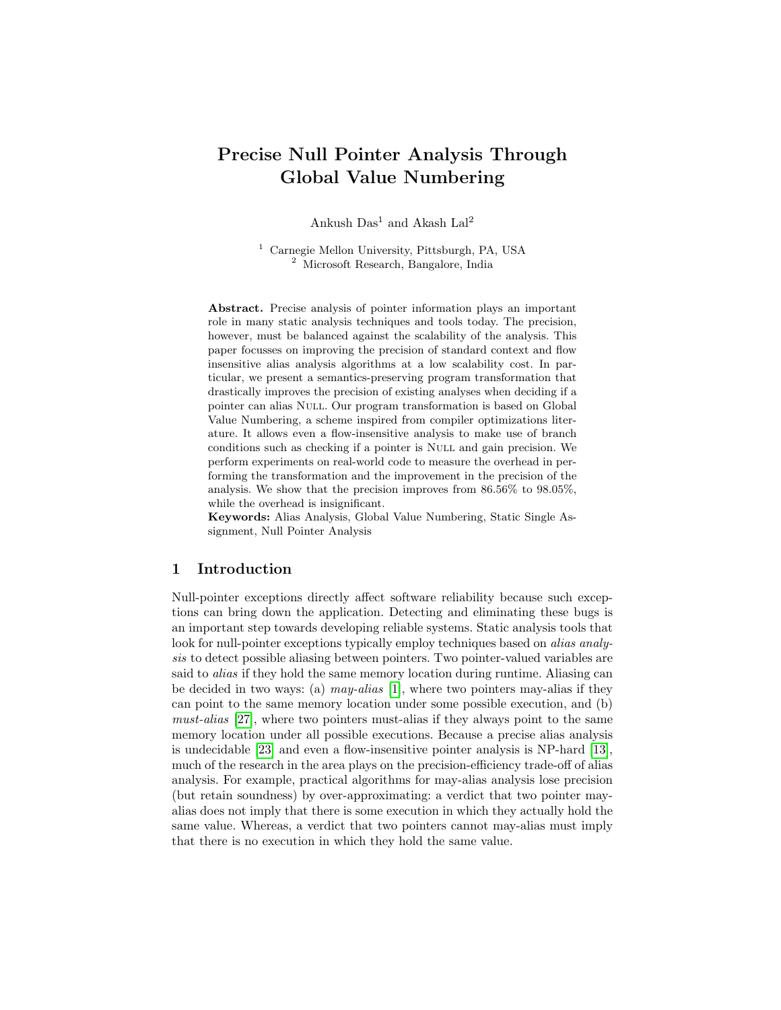# Precise Null Pointer Analysis Through Global Value Numbering

Ankush  $Das<sup>1</sup>$  and Akash  $La<sup>2</sup>$ 

<sup>1</sup> Carnegie Mellon University, Pittsburgh, PA, USA <sup>2</sup> Microsoft Research, Bangalore, India

Abstract. Precise analysis of pointer information plays an important role in many static analysis techniques and tools today. The precision, however, must be balanced against the scalability of the analysis. This paper focusses on improving the precision of standard context and flow insensitive alias analysis algorithms at a low scalability cost. In particular, we present a semantics-preserving program transformation that drastically improves the precision of existing analyses when deciding if a pointer can alias Null. Our program transformation is based on Global Value Numbering, a scheme inspired from compiler optimizations literature. It allows even a flow-insensitive analysis to make use of branch conditions such as checking if a pointer is Null and gain precision. We perform experiments on real-world code to measure the overhead in performing the transformation and the improvement in the precision of the analysis. We show that the precision improves from 86.56% to 98.05%, while the overhead is insignificant.

Keywords: Alias Analysis, Global Value Numbering, Static Single Assignment, Null Pointer Analysis

## 1 Introduction

Null-pointer exceptions directly affect software reliability because such exceptions can bring down the application. Detecting and eliminating these bugs is an important step towards developing reliable systems. Static analysis tools that look for null-pointer exceptions typically employ techniques based on *alias analy*sis to detect possible aliasing between pointers. Two pointer-valued variables are said to alias if they hold the same memory location during runtime. Aliasing can be decided in two ways: (a) may-alias [\[1\]](#page-14-0), where two pointers may-alias if they can point to the same memory location under some possible execution, and (b) must-alias [\[27\]](#page-15-0), where two pointers must-alias if they always point to the same memory location under all possible executions. Because a precise alias analysis is undecidable [\[23\]](#page-15-1) and even a flow-insensitive pointer analysis is NP-hard [\[13\]](#page-15-2), much of the research in the area plays on the precision-efficiency trade-off of alias analysis. For example, practical algorithms for may-alias analysis lose precision (but retain soundness) by over-approximating: a verdict that two pointer mayalias does not imply that there is some execution in which they actually hold the same value. Whereas, a verdict that two pointers cannot may-alias must imply that there is no execution in which they hold the same value.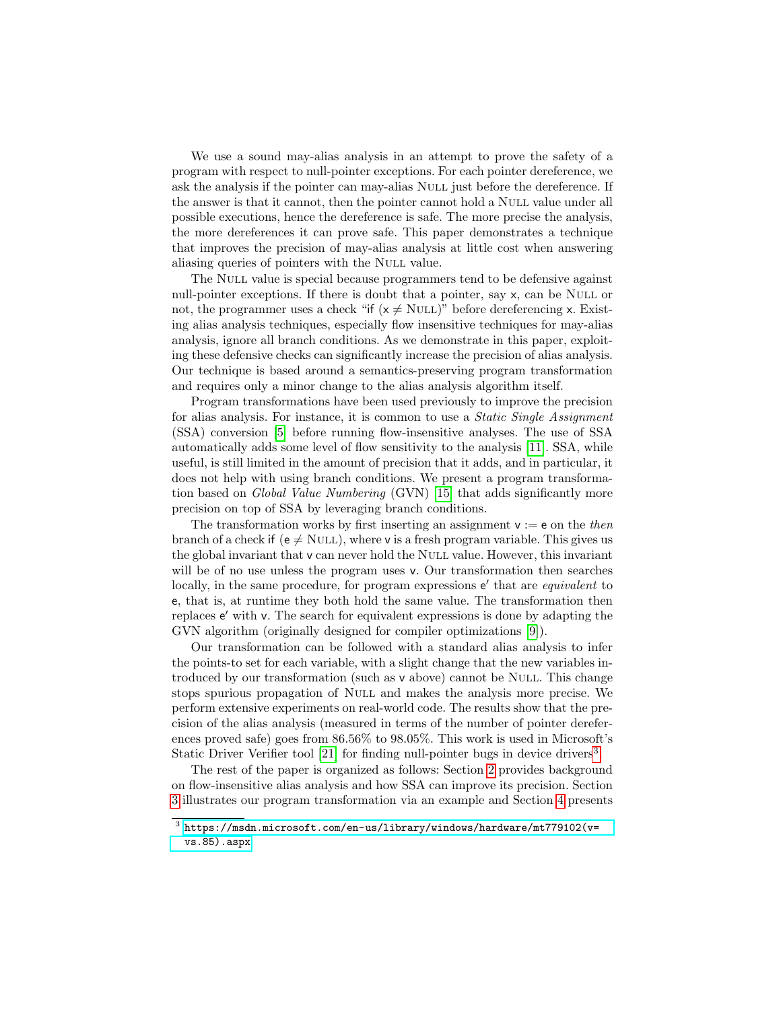We use a sound may-alias analysis in an attempt to prove the safety of a program with respect to null-pointer exceptions. For each pointer dereference, we ask the analysis if the pointer can may-alias Null just before the dereference. If the answer is that it cannot, then the pointer cannot hold a NULL value under all possible executions, hence the dereference is safe. The more precise the analysis, the more dereferences it can prove safe. This paper demonstrates a technique that improves the precision of may-alias analysis at little cost when answering aliasing queries of pointers with the NULL value.

The NULL value is special because programmers tend to be defensive against null-pointer exceptions. If there is doubt that a pointer, say x, can be NULL or not, the programmer uses a check "if  $(x \neq \text{NULL})$ " before dereferencing x. Existing alias analysis techniques, especially flow insensitive techniques for may-alias analysis, ignore all branch conditions. As we demonstrate in this paper, exploiting these defensive checks can significantly increase the precision of alias analysis. Our technique is based around a semantics-preserving program transformation and requires only a minor change to the alias analysis algorithm itself.

Program transformations have been used previously to improve the precision for alias analysis. For instance, it is common to use a Static Single Assignment (SSA) conversion [\[5\]](#page-14-1) before running flow-insensitive analyses. The use of SSA automatically adds some level of flow sensitivity to the analysis [\[11\]](#page-15-3). SSA, while useful, is still limited in the amount of precision that it adds, and in particular, it does not help with using branch conditions. We present a program transformation based on Global Value Numbering (GVN) [\[15\]](#page-15-4) that adds significantly more precision on top of SSA by leveraging branch conditions.

The transformation works by first inserting an assignment  $v := e$  on the then branch of a check if ( $e \neq \text{NULL}$ ), where v is a fresh program variable. This gives us the global invariant that v can never hold the NULL value. However, this invariant will be of no use unless the program uses v. Our transformation then searches locally, in the same procedure, for program expressions  $e'$  that are *equivalent* to e, that is, at runtime they both hold the same value. The transformation then replaces e' with v. The search for equivalent expressions is done by adapting the GVN algorithm (originally designed for compiler optimizations [\[9\]](#page-15-5)).

Our transformation can be followed with a standard alias analysis to infer the points-to set for each variable, with a slight change that the new variables introduced by our transformation (such as v above) cannot be NULL. This change stops spurious propagation of Null and makes the analysis more precise. We perform extensive experiments on real-world code. The results show that the precision of the alias analysis (measured in terms of the number of pointer dereferences proved safe) goes from 86.56% to 98.05%. This work is used in Microsoft's Static Driver Verifier tool [\[21\]](#page-15-6) for finding null-pointer bugs in device drivers<sup>[3](#page-1-0)</sup>.

The rest of the paper is organized as follows: Section [2](#page-2-0) provides background on flow-insensitive alias analysis and how SSA can improve its precision. Section [3](#page-5-0) illustrates our program transformation via an example and Section [4](#page-8-0) presents

<span id="page-1-0"></span> $^3$ [https://msdn.microsoft.com/en-us/library/windows/hardware/mt779102\(v=](https://msdn.microsoft.com/en-us/library/windows/hardware/mt779102(v=vs.85).aspx) [vs.85\).aspx](https://msdn.microsoft.com/en-us/library/windows/hardware/mt779102(v=vs.85).aspx)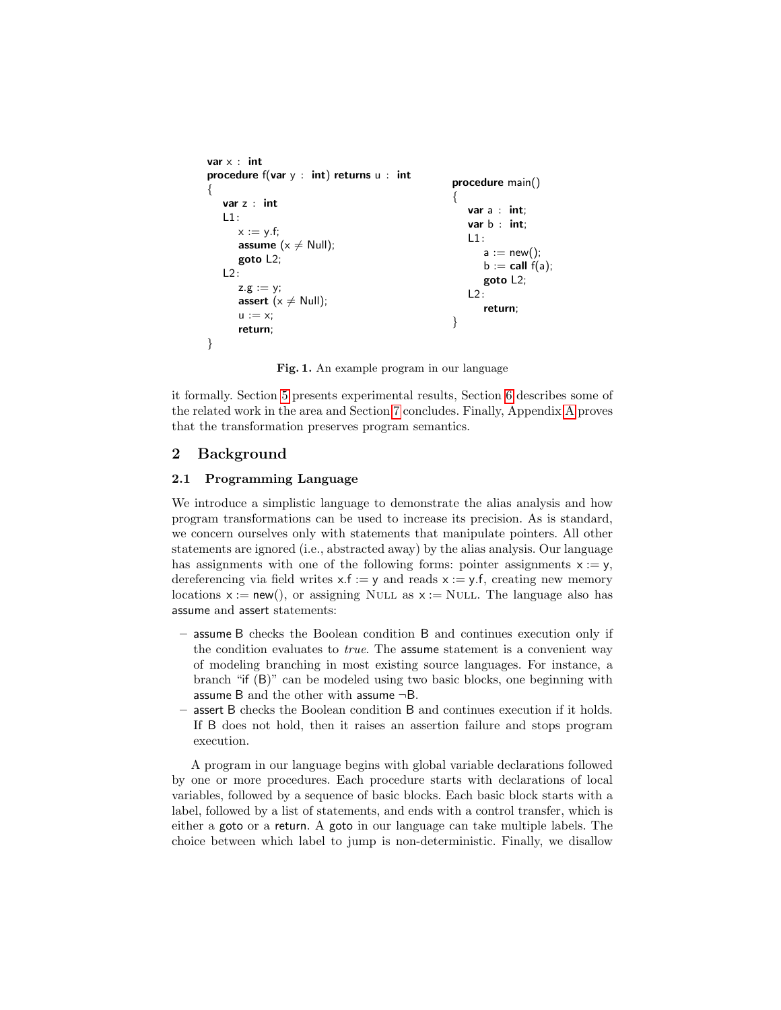```
var x : int
procedure f(var y : int) returns u : int{
   var z : int
   L1:
      x := y.f;assume (x \neq 0ull);
       goto L2;
   L2:
      z.g := y;assert (x \neq Null);
      u := x;return;
}
                                                      procedure main()
                                                      \left\{ \right.var a : int;
                                                          var b : int;
                                                          L1:
                                                             a := new();
                                                             b := \text{call } f(a);goto L2;
                                                          L2:
                                                             return;
                                                      }
```
<span id="page-2-1"></span>Fig. 1. An example program in our language

it formally. Section [5](#page-11-0) presents experimental results, Section [6](#page-13-0) describes some of the related work in the area and Section [7](#page-14-2) concludes. Finally, Appendix [A](#page-16-0) proves that the transformation preserves program semantics.

# <span id="page-2-0"></span>2 Background

## 2.1 Programming Language

We introduce a simplistic language to demonstrate the alias analysis and how program transformations can be used to increase its precision. As is standard, we concern ourselves only with statements that manipulate pointers. All other statements are ignored (i.e., abstracted away) by the alias analysis. Our language has assignments with one of the following forms: pointer assignments  $x := y$ , dereferencing via field writes  $x.f := y$  and reads  $x := y.f$ , creating new memory locations  $x := new()$ , or assigning NULL as  $x := NULL$ . The language also has assume and assert statements:

- assume B checks the Boolean condition B and continues execution only if the condition evaluates to true. The assume statement is a convenient way of modeling branching in most existing source languages. For instance, a branch "if (B)" can be modeled using two basic blocks, one beginning with assume B and the other with assume ¬B.
- assert B checks the Boolean condition B and continues execution if it holds. If B does not hold, then it raises an assertion failure and stops program execution.

A program in our language begins with global variable declarations followed by one or more procedures. Each procedure starts with declarations of local variables, followed by a sequence of basic blocks. Each basic block starts with a label, followed by a list of statements, and ends with a control transfer, which is either a goto or a return. A goto in our language can take multiple labels. The choice between which label to jump is non-deterministic. Finally, we disallow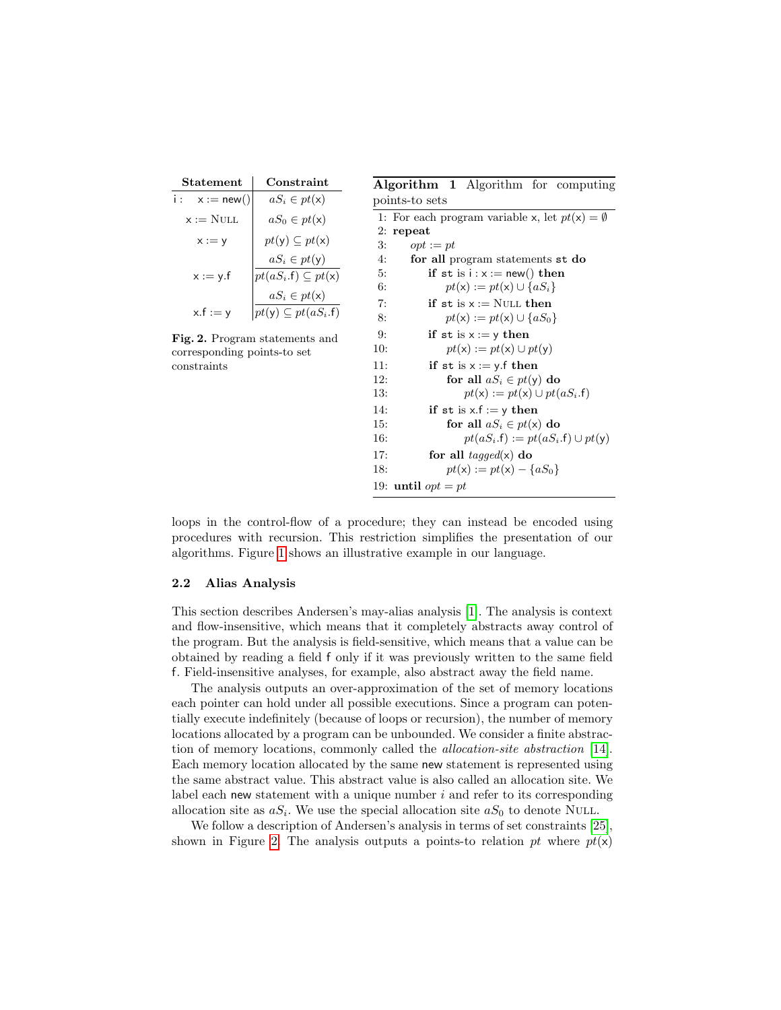| Statement                   | Constraint                                                                             |  |  |  |
|-----------------------------|----------------------------------------------------------------------------------------|--|--|--|
| i :<br>$x := new()$         | $aS_i \in pt(\mathsf{x})$                                                              |  |  |  |
| $\mathsf{x}:=\mathrm{NULL}$ | $aS_0 \in pt(\mathsf{x})$                                                              |  |  |  |
| $x := y$                    | $pt(\mathsf{y}) \subset pt(\mathsf{x})$                                                |  |  |  |
| $x := y.f$                  | $aS_i \in pt(\mathsf{y})$<br>$pt(aS_i.f) \subseteq pt(x)$<br>$aS_i \in pt(\mathsf{x})$ |  |  |  |
| $x.f := v$                  | $pt(y) \subseteq pt(aS_i.f)$                                                           |  |  |  |

<span id="page-3-0"></span>Fig. 2. Program statements and corresponding points-to set constraints

<span id="page-3-1"></span>

|                | <b>Algorithm 1</b> Algorithm for computing                                        |
|----------------|-----------------------------------------------------------------------------------|
| points-to sets |                                                                                   |
|                | 1: For each program variable x, let $pt(x) = \emptyset$                           |
| 2:<br>repeat   |                                                                                   |
| 3:             | $opt := pt$                                                                       |
| 4:             | for all program statements st do                                                  |
| 5:             | if st is $i : x := new()$ then                                                    |
| 6:             | $pt(x) := pt(x) \cup \{aS_i\}$                                                    |
| 7:             | $\mathbf{if}\ \mathbf{st}\ \mathbf{is}\ \mathsf{x}:=\mathrm{NULL}\ \mathbf{then}$ |
| 8:             | $pt(x) := pt(x) \cup \{aS_0\}$                                                    |
| 9:             | if st is $x := y$ then                                                            |
| 10:            | $pt(x) := pt(x) \cup pt(y)$                                                       |
| 11:            | if st is $x := y$ f then                                                          |
| 12:            | for all $aS_i \in pt(v)$ do                                                       |
| 13:            | $pt(x) := pt(x) \cup pt(aS_i.f)$                                                  |
| 14:            | if st is $x.f := y$ then                                                          |
| 15:            | for all $aS_i \in pt(x)$ do                                                       |
| 16:            | $pt(aS_i.f) := pt(aS_i.f) \cup pt(v)$                                             |
| 17:            | for all <i>tagged</i> $(x)$ do                                                    |
| 18:            | $pt(x) := pt(x) - \{aS_0\}$                                                       |
|                | 19: <b>until</b> $opt = pt$                                                       |

loops in the control-flow of a procedure; they can instead be encoded using procedures with recursion. This restriction simplifies the presentation of our algorithms. Figure [1](#page-2-1) shows an illustrative example in our language.

## 2.2 Alias Analysis

This section describes Andersen's may-alias analysis [\[1\]](#page-14-0). The analysis is context and flow-insensitive, which means that it completely abstracts away control of the program. But the analysis is field-sensitive, which means that a value can be obtained by reading a field f only if it was previously written to the same field f. Field-insensitive analyses, for example, also abstract away the field name.

The analysis outputs an over-approximation of the set of memory locations each pointer can hold under all possible executions. Since a program can potentially execute indefinitely (because of loops or recursion), the number of memory locations allocated by a program can be unbounded. We consider a finite abstraction of memory locations, commonly called the allocation-site abstraction [\[14\]](#page-15-7). Each memory location allocated by the same new statement is represented using the same abstract value. This abstract value is also called an allocation site. We label each new statement with a unique number  $i$  and refer to its corresponding allocation site as  $aS_i$ . We use the special allocation site  $aS_0$  to denote NULL.

We follow a description of Andersen's analysis in terms of set constraints [\[25\]](#page-15-8), shown in Figure [2.](#page-3-0) The analysis outputs a points-to relation pt where  $pt(x)$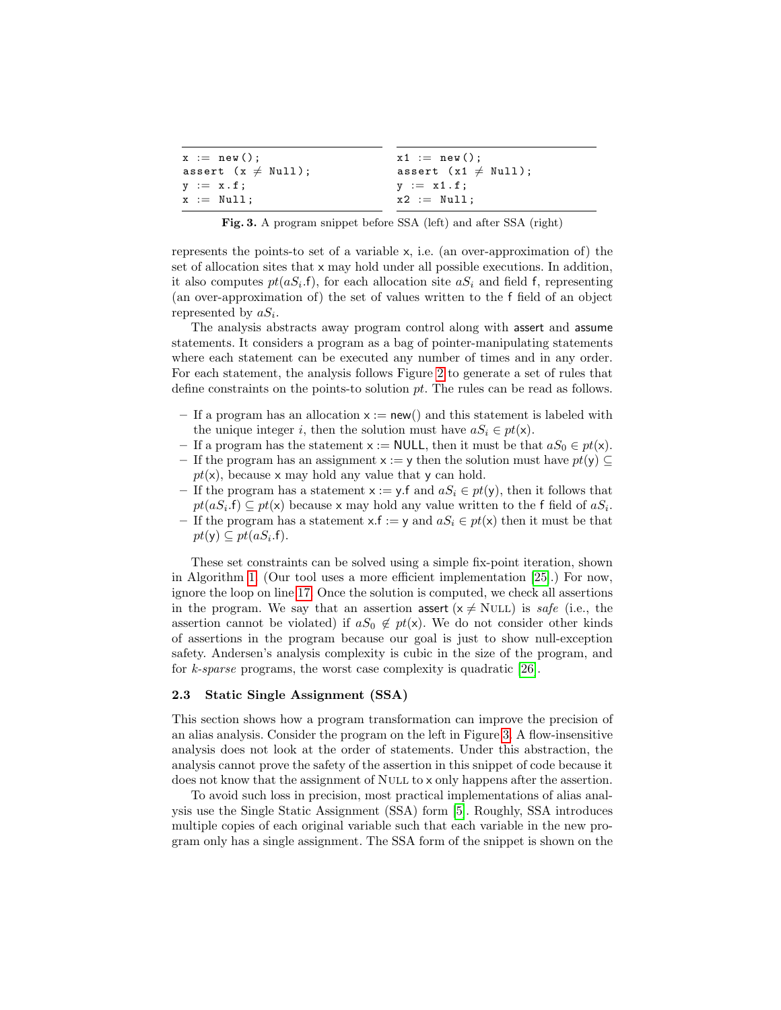| $x1 := new()$ ;                 |
|---------------------------------|
| assert $(x1 \neq \text{Null});$ |
| $y := x1.f;$                    |
| $x2 := Nu11;$                   |
|                                 |

<span id="page-4-0"></span>Fig. 3. A program snippet before SSA (left) and after SSA (right)

represents the points-to set of a variable x, i.e. (an over-approximation of) the set of allocation sites that x may hold under all possible executions. In addition, it also computes  $pt(aS_i.f)$ , for each allocation site  $aS_i$  and field f, representing (an over-approximation of) the set of values written to the f field of an object represented by  $aS_i$ .

The analysis abstracts away program control along with assert and assume statements. It considers a program as a bag of pointer-manipulating statements where each statement can be executed any number of times and in any order. For each statement, the analysis follows Figure [2](#page-3-0) to generate a set of rules that define constraints on the points-to solution pt. The rules can be read as follows.

- If a program has an allocation  $x := new()$  and this statement is labeled with the unique integer i, then the solution must have  $aS_i \in pt(\mathsf{x})$ .
- If a program has the statement  $x := \text{NULL}$ , then it must be that  $aS_0 \in pt(x)$ .
- If the program has an assignment  $x := y$  then the solution must have  $pt(y) \subseteq$  $pt(x)$ , because x may hold any value that y can hold.
- If the program has a statement  $x := y$ . f and  $aS_i \in pt(y)$ , then it follows that  $pt(aS_i.f) \subseteq pt(x)$  because x may hold any value written to the f field of  $aS_i$ .
- If the program has a statement x.f := y and  $aS_i \in pt(x)$  then it must be that  $pt(y) \subseteq pt(aS_i.f).$

These set constraints can be solved using a simple fix-point iteration, shown in Algorithm [1.](#page-3-1) (Our tool uses a more efficient implementation [\[25\]](#page-15-8).) For now, ignore the loop on line [17.](#page-3-1) Once the solution is computed, we check all assertions in the program. We say that an assertion assert  $(x \neq NULL)$  is safe (i.e., the assertion cannot be violated) if  $aS_0 \notin pt(x)$ . We do not consider other kinds of assertions in the program because our goal is just to show null-exception safety. Andersen's analysis complexity is cubic in the size of the program, and for k-sparse programs, the worst case complexity is quadratic [\[26\]](#page-15-9).

## 2.3 Static Single Assignment (SSA)

This section shows how a program transformation can improve the precision of an alias analysis. Consider the program on the left in Figure [3.](#page-4-0) A flow-insensitive analysis does not look at the order of statements. Under this abstraction, the analysis cannot prove the safety of the assertion in this snippet of code because it does not know that the assignment of NULL to x only happens after the assertion.

To avoid such loss in precision, most practical implementations of alias analysis use the Single Static Assignment (SSA) form [\[5\]](#page-14-1). Roughly, SSA introduces multiple copies of each original variable such that each variable in the new program only has a single assignment. The SSA form of the snippet is shown on the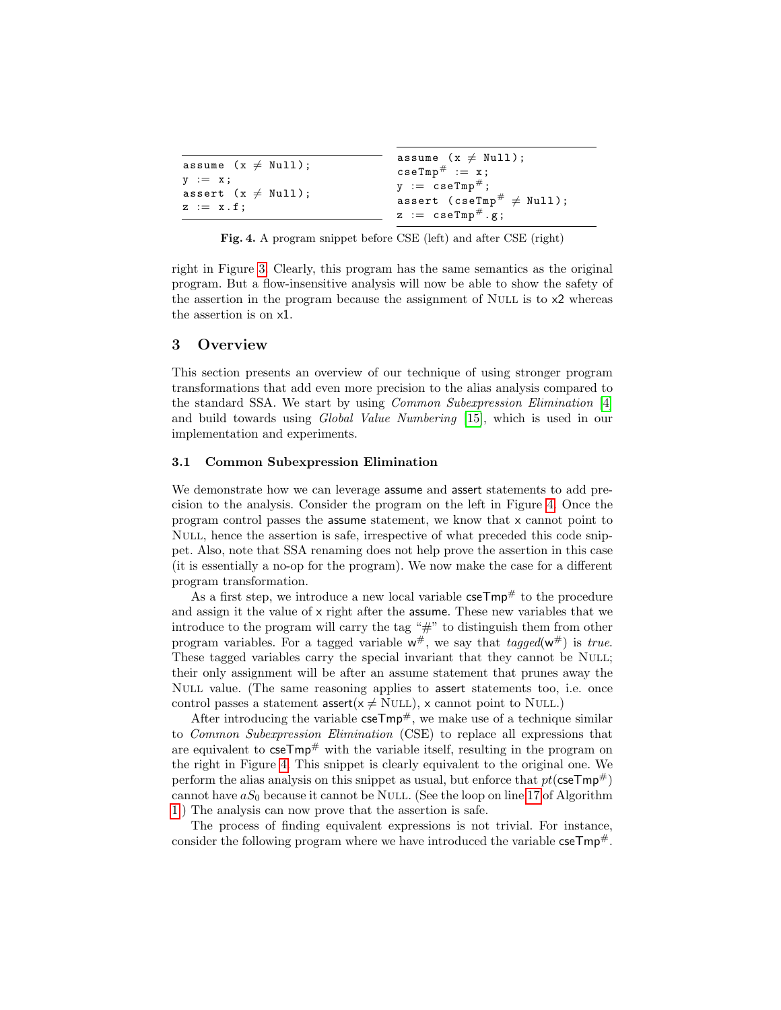| assume $(x \neq Null)$ ;                     | assume $(x \neq \text{Null})$ ;<br>$\texttt{cseTmp}^{\#} := x;$    |
|----------------------------------------------|--------------------------------------------------------------------|
| $y := x;$<br>assert $(x \neq \text{Null})$ ; | $y := cseTmp^{\#};$                                                |
| $z := x.f;$                                  | assert (cseTmp <sup>#</sup> $\neq$ Null);<br>$z := cseTmp^{\#}.g;$ |

<span id="page-5-1"></span>Fig. 4. A program snippet before CSE (left) and after CSE (right)

right in Figure [3.](#page-4-0) Clearly, this program has the same semantics as the original program. But a flow-insensitive analysis will now be able to show the safety of the assertion in the program because the assignment of Null is to x2 whereas the assertion is on x1.

## <span id="page-5-0"></span>3 Overview

This section presents an overview of our technique of using stronger program transformations that add even more precision to the alias analysis compared to the standard SSA. We start by using *Common Subexpression Elimination* [\[4\]](#page-14-3) and build towards using Global Value Numbering [\[15\]](#page-15-4), which is used in our implementation and experiments.

#### 3.1 Common Subexpression Elimination

We demonstrate how we can leverage assume and assert statements to add precision to the analysis. Consider the program on the left in Figure [4.](#page-5-1) Once the program control passes the assume statement, we know that x cannot point to Null, hence the assertion is safe, irrespective of what preceded this code snippet. Also, note that SSA renaming does not help prove the assertion in this case (it is essentially a no-op for the program). We now make the case for a different program transformation.

As a first step, we introduce a new local variable  $\csc Tmp^{\#}$  to the procedure and assign it the value of x right after the assume. These new variables that we introduce to the program will carry the tag "#" to distinguish them from other program variables. For a tagged variable  $w^{\#}$ , we say that  $tagged(w^{\#})$  is true. These tagged variables carry the special invariant that they cannot be NULL; their only assignment will be after an assume statement that prunes away the Null value. (The same reasoning applies to assert statements too, i.e. once control passes a statement assert( $x \neq NULL$ ), x cannot point to NULL.)

After introducing the variable  $\csc Tmp^{\#}$ , we make use of a technique similar to Common Subexpression Elimination (CSE) to replace all expressions that are equivalent to  $\csc Tmp^{\#}$  with the variable itself, resulting in the program on the right in Figure [4.](#page-5-1) This snippet is clearly equivalent to the original one. We perform the alias analysis on this snippet as usual, but enforce that  $pt$ (cse $Tmp^{\#}$ ) cannot have  $aS_0$  because it cannot be NULL. (See the loop on line [17](#page-3-1) of Algorithm [1.](#page-3-1)) The analysis can now prove that the assertion is safe.

The process of finding equivalent expressions is not trivial. For instance, consider the following program where we have introduced the variable  $\mathsf{cseTmp}^*$ .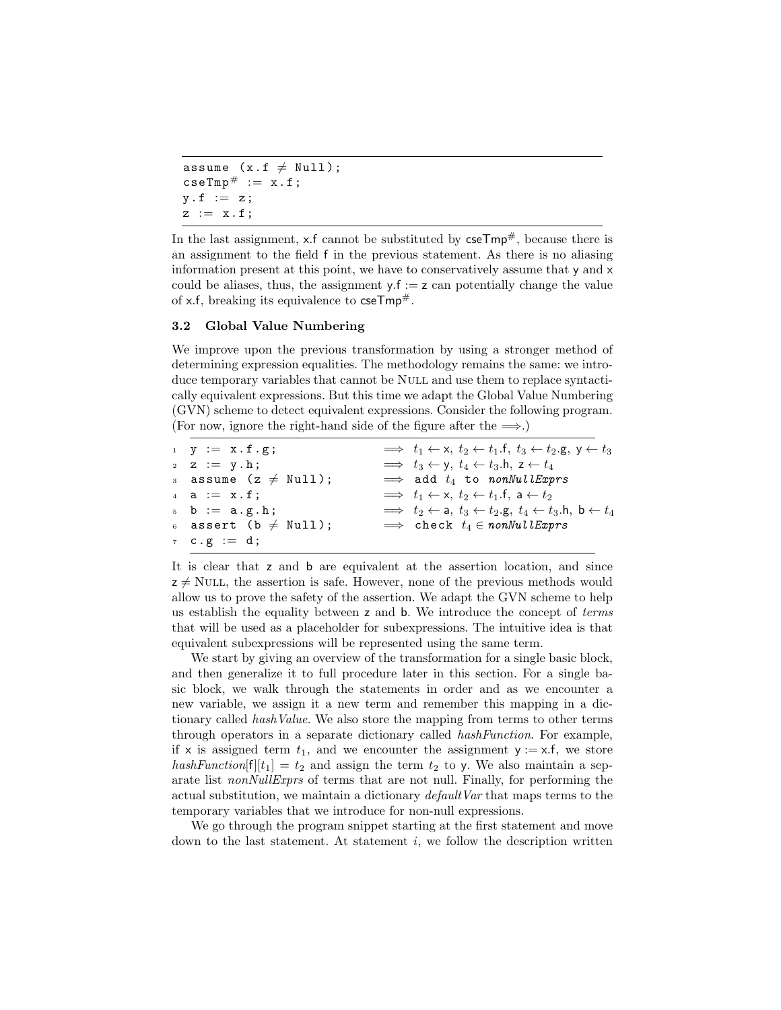```
assume (x.f \neq Null);
\texttt{cseTmp}^{\#} := x.f;y f := z;z := x.f;
```
In the last assignment, x.f cannot be substituted by  $\csc Tmp^{\#}$ , because there is an assignment to the field f in the previous statement. As there is no aliasing information present at this point, we have to conservatively assume that y and x could be aliases, thus, the assignment  $y.f := z$  can potentially change the value of x.f, breaking its equivalence to  $\mathsf{cseTmp}^{\#}$ .

#### <span id="page-6-0"></span>3.2 Global Value Numbering

We improve upon the previous transformation by using a stronger method of determining expression equalities. The methodology remains the same: we introduce temporary variables that cannot be Null and use them to replace syntactically equivalent expressions. But this time we adapt the Global Value Numbering (GVN) scheme to detect equivalent expressions. Consider the following program. (For now, ignore the right-hand side of the figure after the  $\implies$ .)

| $y := x.f.g;$                          | $\implies t_1 \leftarrow x, t_2 \leftarrow t_1 \cdot f, t_3 \leftarrow t_2 \cdot g, y \leftarrow t_3$ |
|----------------------------------------|-------------------------------------------------------------------------------------------------------|
| $z \quad z \quad := \quad y \cdot h$ ; | $\implies t_3 \leftarrow y, t_4 \leftarrow t_3 \cdot h, z \leftarrow t_4$                             |
| 3 assume $(z \neq \text{Null});$       | $\implies$ add $t_4$ to nonNullExprs                                                                  |
| $4$ a := $x.f;$                        | $\implies t_1 \leftarrow x, t_2 \leftarrow t_1 \cdot f, a \leftarrow t_2$                             |
| $5 b := a.g.h;$                        | $\implies t_2 \leftarrow$ a, $t_3 \leftarrow t_2$ .g, $t_4 \leftarrow t_3$ .h, b $\leftarrow t_4$     |
| 6 assert (b $\neq$ Null);              | $\implies$ check $t_4 \in \textit{nonNullExpress}$                                                    |
| 7 $C \cdot g := d$ ;                   |                                                                                                       |
|                                        |                                                                                                       |

It is clear that z and b are equivalent at the assertion location, and since  $z \neq$  NULL, the assertion is safe. However, none of the previous methods would allow us to prove the safety of the assertion. We adapt the GVN scheme to help us establish the equality between z and b. We introduce the concept of terms that will be used as a placeholder for subexpressions. The intuitive idea is that equivalent subexpressions will be represented using the same term.

We start by giving an overview of the transformation for a single basic block, and then generalize it to full procedure later in this section. For a single basic block, we walk through the statements in order and as we encounter a new variable, we assign it a new term and remember this mapping in a dictionary called *hashValue*. We also store the mapping from terms to other terms through operators in a separate dictionary called hashFunction. For example, if x is assigned term  $t_1$ , and we encounter the assignment  $y := x.f$ , we store hashFunction $[f][t_1] = t_2$  and assign the term  $t_2$  to y. We also maintain a separate list *nonNullExprs* of terms that are not null. Finally, for performing the actual substitution, we maintain a dictionary *default Var* that maps terms to the temporary variables that we introduce for non-null expressions.

We go through the program snippet starting at the first statement and move down to the last statement. At statement  $i$ , we follow the description written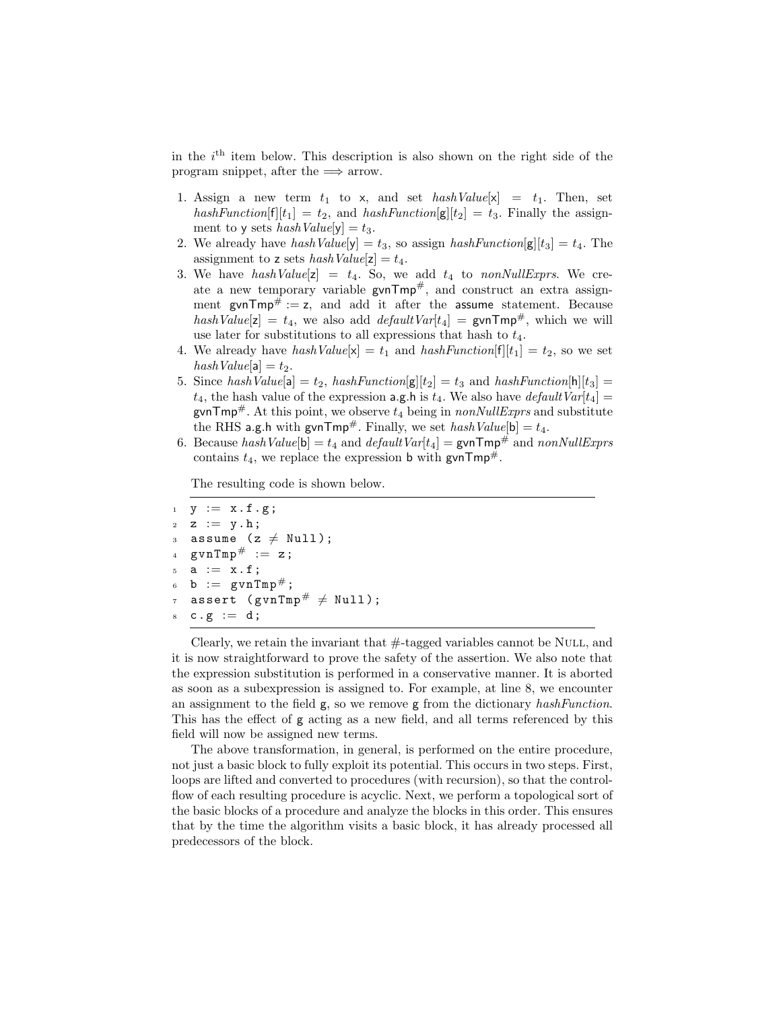in the  $i<sup>th</sup>$  item below. This description is also shown on the right side of the program snippet, after the  $\implies$  arrow.

- 1. Assign a new term  $t_1$  to x, and set  $hashValue[x] = t_1$ . Then, set hashFunction[f][t<sub>1</sub>] = t<sub>2</sub>, and hashFunction[g][t<sub>2</sub>] = t<sub>3</sub>. Finally the assignment to y sets  $hashValue[y] = t_3$ .
- 2. We already have hash  $Value[y] = t_3$ , so assign hash  $Function[g][t_3] = t_4$ . The assignment to z sets  $hashValue[z] = t_4$ .
- 3. We have hashValue[z] =  $t_4$ . So, we add  $t_4$  to nonNullExprs. We create a new temporary variable  $gvnTmp^{\#}$ , and construct an extra assignment gvn $Tmp^{\#} := z$ , and add it after the assume statement. Because hashValue[z] =  $t_4$ , we also add *defaultVar*[ $t_4$ ] = gvnTmp<sup>#</sup>, which we will use later for substitutions to all expressions that hash to  $t_4$ .
- 4. We already have hash  $Value[x] = t_1$  and hash  $Function[f][t_1] = t_2$ , so we set  $hashValue[a] = t_2.$
- 5. Since hash Value[a] =  $t_2$ , hash Function[g][ $t_2$ ] =  $t_3$  and hash Function[h][ $t_3$ ] =  $t_4$ , the hash value of the expression a.g.h is  $t_4$ . We also have *default*  $Var[t_4] =$ gvnTmp<sup>#</sup>. At this point, we observe  $t_4$  being in nonNullExprs and substitute the RHS a.g.h with gvnTmp#. Finally, we set  $hashValue[b] = t_4$ .
- 6. Because hash Value[b] =  $t_4$  and default Var[ $t_4$ ] = gvnTmp<sup>#</sup> and nonNullExprs contains  $t_4$ , we replace the expression b with gvnTmp<sup>#</sup>.

The resulting code is shown below.

```
y := x.f.g;z := y.h;3 assume (z \neq Null);
  gvnTmp# := z;
  a := x.f;b := gvnTmp#;
  assert (gvnTmp# \neq Null);
  c.g := d;
```
Clearly, we retain the invariant that  $\#$ -tagged variables cannot be NULL, and it is now straightforward to prove the safety of the assertion. We also note that the expression substitution is performed in a conservative manner. It is aborted as soon as a subexpression is assigned to. For example, at line 8, we encounter an assignment to the field  $g$ , so we remove  $g$  from the dictionary hashFunction. This has the effect of g acting as a new field, and all terms referenced by this field will now be assigned new terms.

The above transformation, in general, is performed on the entire procedure, not just a basic block to fully exploit its potential. This occurs in two steps. First, loops are lifted and converted to procedures (with recursion), so that the controlflow of each resulting procedure is acyclic. Next, we perform a topological sort of the basic blocks of a procedure and analyze the blocks in this order. This ensures that by the time the algorithm visits a basic block, it has already processed all predecessors of the block.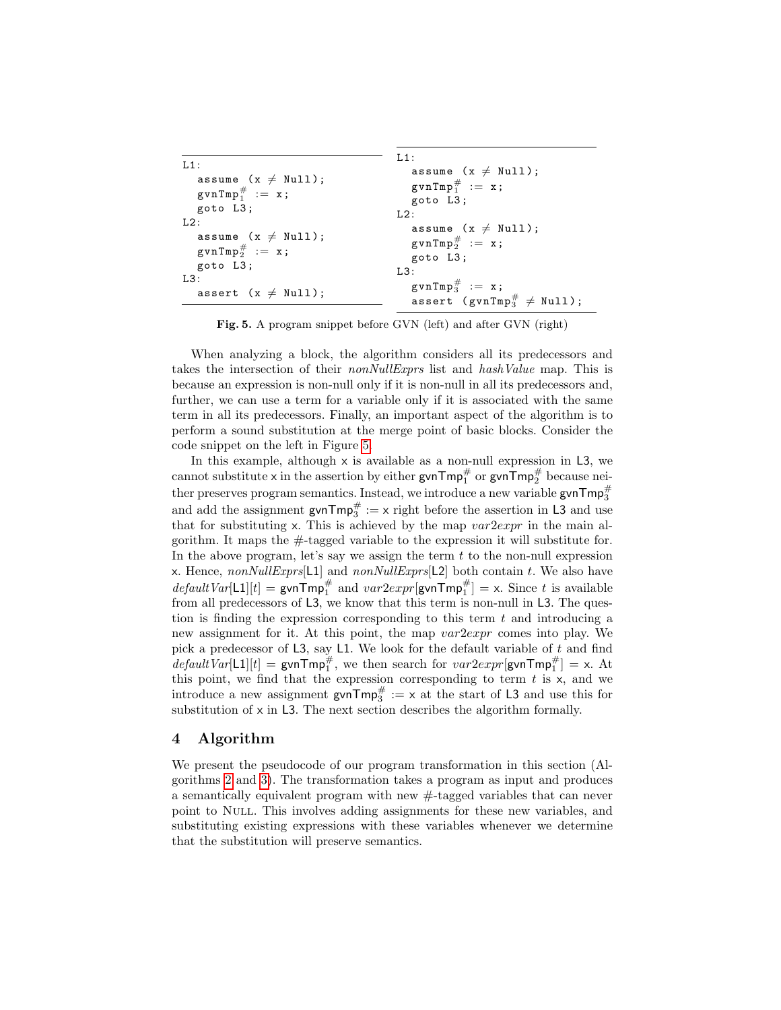```
L1:
   assume (x \neq Null);
   \texttt{gvnTmp}_1^{\#} := x;goto L3 ;
L2:
   assume (x \neq Null);
   \texttt{gvnTmp}_2^{\#} := \texttt{x};
   goto L3 ;
L3:
   assert (x \neq Null);
                                                 L1:
                                                     assume (x \neq Null);
                                                     \texttt{gvnTmp}_1^{\#} := x;goto L3 ;
                                                 L2:
                                                     assume (x \neq Null);
                                                     \texttt{gvnTmp}_2^{\#} := \texttt{x};
                                                    goto L3 ;
                                                 L3:
                                                     \texttt{gvnTmp}^\#_3 := \texttt{x};
                                                     assert (gvnTmp_3^{\#} \neq Null);
```
<span id="page-8-1"></span>Fig. 5. A program snippet before GVN (left) and after GVN (right)

When analyzing a block, the algorithm considers all its predecessors and takes the intersection of their *nonNullExprs* list and *hashValue* map. This is because an expression is non-null only if it is non-null in all its predecessors and, further, we can use a term for a variable only if it is associated with the same term in all its predecessors. Finally, an important aspect of the algorithm is to perform a sound substitution at the merge point of basic blocks. Consider the code snippet on the left in Figure [5.](#page-8-1)

In this example, although  $\times$  is available as a non-null expression in L3, we cannot substitute **x** in the assertion by either  $\mathsf{gvnTmp}_1^\#$  or  $\mathsf{gvnTmp}_2^\#$  because neither preserves program semantics. Instead, we introduce a new variable  $\mathsf{gvnTmp}^{\#}_{3}$ and add the assignment  $\text{gvnTmp}^{\#} := x$  right before the assertion in L3 and use that for substituting x. This is achieved by the map  $var2expr$  in the main algorithm. It maps the #-tagged variable to the expression it will substitute for. In the above program, let's say we assign the term  $t$  to the non-null expression x. Hence,  $nonNullExpress[1]$  and  $nonNullExpress[12]$  both contain t. We also have  $defaultVar[L1][t] = \text{gvnTmp}_1^{\#}$  and  $var2expr[\text{gvnTmp}_1^{\#}] = x$ . Since t is available from all predecessors of L3, we know that this term is non-null in L3. The question is finding the expression corresponding to this term  $t$  and introducing a new assignment for it. At this point, the map  $var2expr$  comes into play. We pick a predecessor of L3, say L1. We look for the default variable of  $t$  and find  $defaultVar[L1][t] = \text{gvnTmp}_1^{\#}$ , we then search for  $var2expr[\text{gvnTmp}_1^{\#}] = x$ . At this point, we find that the expression corresponding to term  $t$  is  $x$ , and we introduce a new assignment  $\text{gvnTmp}^{\#} := x$  at the start of L3 and use this for substitution of x in L3. The next section describes the algorithm formally.

# <span id="page-8-0"></span>4 Algorithm

We present the pseudocode of our program transformation in this section (Algorithms [2](#page-9-0) and [3\)](#page-10-0). The transformation takes a program as input and produces a semantically equivalent program with new #-tagged variables that can never point to Null. This involves adding assignments for these new variables, and substituting existing expressions with these variables whenever we determine that the substitution will preserve semantics.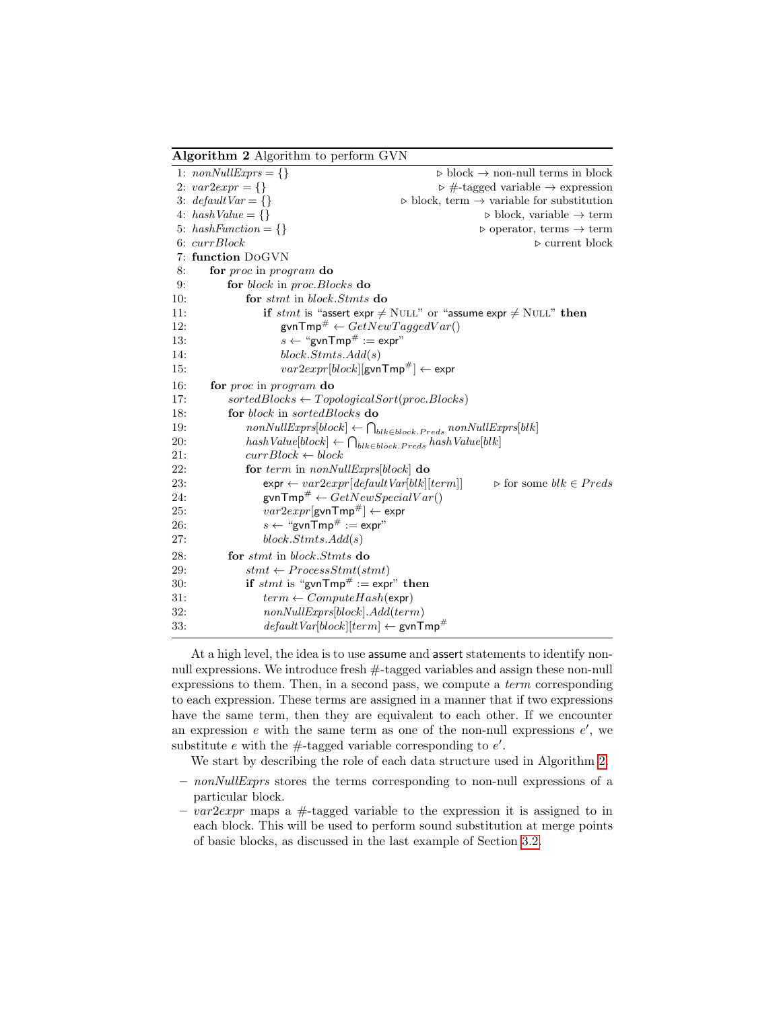<span id="page-9-0"></span>Algorithm 2 Algorithm to perform GVN

|     | 1: $nonNullExpress = \{\}$                                                  | $\triangleright$ block $\rightarrow$ non-null terms in block                           |
|-----|-----------------------------------------------------------------------------|----------------------------------------------------------------------------------------|
|     | 2: $var2expr = \{\}$                                                        | $\triangleright$ #-tagged variable $\rightarrow$ expression                            |
|     | 3: $defaultVar = \{\}$                                                      | $\triangleright$ block, term $\rightarrow$ variable for substitution                   |
|     | 4: $hashValue = \{\}$                                                       | $\triangleright$ block, variable $\rightarrow$ term                                    |
|     | 5: $hashFunction = \{\}$                                                    | $\triangleright$ operator, terms $\rightarrow$ term                                    |
|     | $6: \text{currBlock}$                                                       | $\triangleright$ current block                                                         |
|     | 7: function DoGVN                                                           |                                                                                        |
| 8:  | for proc in program do                                                      |                                                                                        |
| 9:  | for block in proc. Blocks do                                                |                                                                                        |
| 10: | for stmt in block.Stmts do                                                  |                                                                                        |
| 11: |                                                                             | if stmt is "assert expr $\neq$ NULL" or "assume expr $\neq$ NULL" then                 |
| 12: | gyn $\mathsf{Tmp}^{\#} \leftarrow GetNewTaggedVar()$                        |                                                                                        |
| 13: | $s \leftarrow$ "gvnTmp# := expr"                                            |                                                                                        |
| 14: | block.Stmts. Add(s)                                                         |                                                                                        |
| 15: | $var2expr[block][gvnTmp#] \leftarrow \text{expr}$                           |                                                                                        |
| 16: | for proc in program do                                                      |                                                                                        |
| 17: | $sortedblocks \leftarrow TopologicalSort(proc. Blocks)$                     |                                                                                        |
| 18: | for block in sortedBlocks do                                                |                                                                                        |
| 19: |                                                                             | $nonNullExpress[block] \leftarrow \bigcap_{blk \in block. Preds}\ nonNullExpress[blk]$ |
| 20: | $hashValue[block] \leftarrow \bigcap_{blk \in block, Preds} hashValue[blk]$ |                                                                                        |
| 21: | $currBlock \leftarrow block$                                                |                                                                                        |
| 22: | for term in nonNullExprs[block] do                                          |                                                                                        |
| 23: | $\texttt{expr} \gets \mathit{var2expr}[\mathit{defaultVar}[blk][term]]$     | $\triangleright$ for some $blk \in Preds$                                              |
| 24: | gyn $\mathsf{Tmp}^{\#} \leftarrow GetNewSpecialVar()$                       |                                                                                        |
| 25: | $var2expr[gvnTmp#] \leftarrow expr$                                         |                                                                                        |
| 26: | $s \leftarrow$ "gvnTmp# := expr"                                            |                                                                                        |
| 27: | block.Stmts. Add(s)                                                         |                                                                                        |
| 28: | for stmt in block. Stmts do                                                 |                                                                                        |
| 29: | $stmt \leftarrow ProcessSmt (stmt)$                                         |                                                                                        |
| 30: | if stmt is "gvnTmp# := $\exp$ " then                                        |                                                                                        |
| 31: | $term \leftarrow ComputeHash(\exp r)$                                       |                                                                                        |
| 32: | nonNullExpress[block].Add(term)                                             |                                                                                        |
| 33: | $defaultVar[block][term] \leftarrow \text{gvnTmp}^{\#}$                     |                                                                                        |

At a high level, the idea is to use assume and assert statements to identify nonnull expressions. We introduce fresh #-tagged variables and assign these non-null expressions to them. Then, in a second pass, we compute a term corresponding to each expression. These terms are assigned in a manner that if two expressions have the same term, then they are equivalent to each other. If we encounter an expression  $e$  with the same term as one of the non-null expressions  $e'$ , we substitute e with the  $\#$ -tagged variable corresponding to  $e'$ .

We start by describing the role of each data structure used in Algorithm [2.](#page-9-0)

- $-$  nonNullExprs stores the terms corresponding to non-null expressions of a particular block.
- $-var2expr$  maps a #-tagged variable to the expression it is assigned to in each block. This will be used to perform sound substitution at merge points of basic blocks, as discussed in the last example of Section [3.2.](#page-6-0)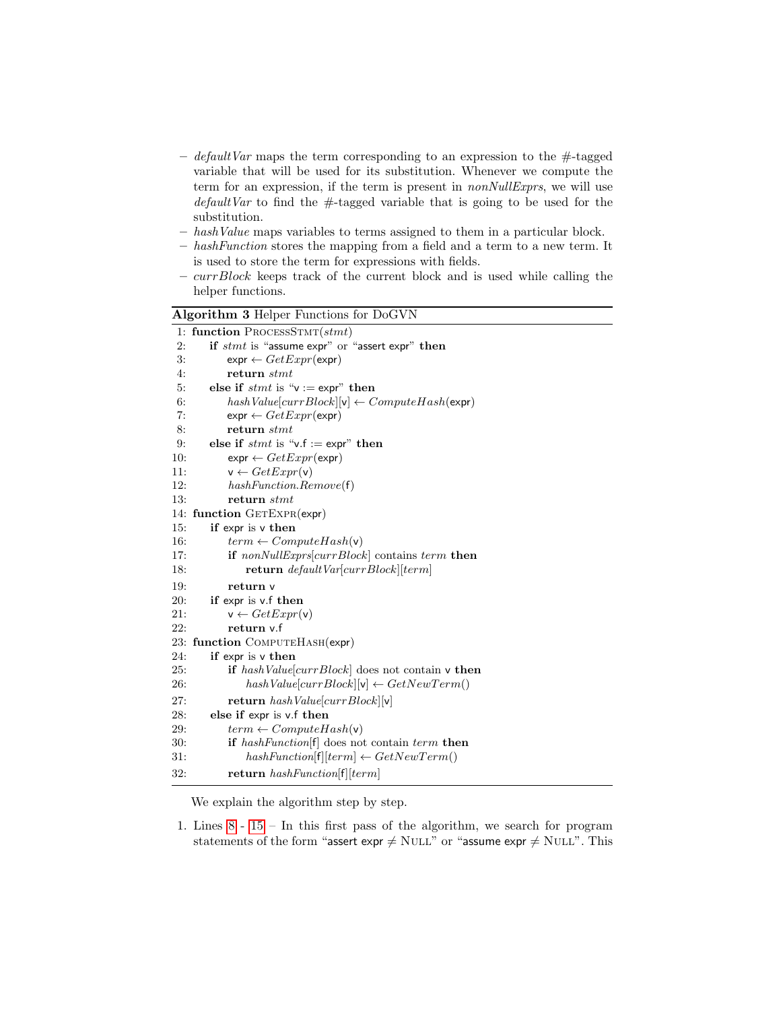- default Var maps the term corresponding to an expression to the  $\#$ -tagged variable that will be used for its substitution. Whenever we compute the term for an expression, if the term is present in *nonNullExprs*, we will use  $defaultVar$  to find the  $#$ -tagged variable that is going to be used for the substitution.
- hashValue maps variables to terms assigned to them in a particular block.
- hashFunction stores the mapping from a field and a term to a new term. It is used to store the term for expressions with fields.
- $-$  *currBlock* keeps track of the current block and is used while calling the helper functions.

<span id="page-10-0"></span>

| Algorithm 3 Helper Functions for DoGVN                          |  |  |  |
|-----------------------------------------------------------------|--|--|--|
| 1: function PROCESSSTMT(stmt)                                   |  |  |  |
| 2:<br>if $s$ tmt is "assume expr" or "assert expr" then         |  |  |  |
| 3:<br>$\exp \leftarrow GetExpr(\exp r)$                         |  |  |  |
| 4:<br>return stmt                                               |  |  |  |
| else if $s$ <i>tmt</i> is " $v := exp r$ " then<br>5:           |  |  |  |
| $hashValue[currBlock][v] \leftarrow ComputeHash(exp)$<br>6:     |  |  |  |
| 7:<br>$\exp \leftarrow GetExpr(\exp r)$                         |  |  |  |
| 8:<br>return stmt                                               |  |  |  |
| else if $s$ <i>tmt</i> is "v.f := expr" then<br>9:              |  |  |  |
| 10:<br>$\mathsf{expr} \leftarrow GetExpr(\mathsf{expr})$        |  |  |  |
| 11:<br>$v \leftarrow GetExpr(v)$                                |  |  |  |
| 12:<br>$hashFunction$ . $Remove(f)$                             |  |  |  |
| 13:<br>return stmt                                              |  |  |  |
| 14: function GETEXPR(expr)                                      |  |  |  |
| if expr is v then<br>15:                                        |  |  |  |
| 16:<br>$term \leftarrow ComputeHash(v)$                         |  |  |  |
| 17:<br><b>if</b> nonNullExprs[ $currBlock$ ] contains term then |  |  |  |
| return $defaultVar[currBlock][term]$<br>18:                     |  |  |  |
| 19:<br>return v                                                 |  |  |  |
| 20:<br>if expr is v.f then                                      |  |  |  |
| 21:<br>$v \leftarrow GetExpr(v)$                                |  |  |  |
| 22:<br>return v.f                                               |  |  |  |
| 23: function COMPUTEHASH(expr)                                  |  |  |  |
| 24:<br>if expr is v then                                        |  |  |  |
| 25:<br>if $hashValue[currBlock]$ does not contain v then        |  |  |  |
| $hashValue[currBlock][v] \leftarrow GetNewTerm()$<br>26:        |  |  |  |
| 27:<br>return $hashValue[currBlock][v]$                         |  |  |  |
| 28:<br>else if expr is v.f then                                 |  |  |  |
| 29:<br>$term \leftarrow ComputeHash(v)$                         |  |  |  |
| 30:<br><b>if</b> hashFunction [f] does not contain term then    |  |  |  |
| $hashFunction[f][term] \leftarrow GetNewTerm()$<br>31:          |  |  |  |
| 32:<br>return $hashFunction[f][term]$                           |  |  |  |

We explain the algorithm step by step.

1. Lines [8](#page-9-0) - [15](#page-9-0) – In this first pass of the algorithm, we search for program statements of the form "assert expr  $\neq$  NULL" or "assume expr  $\neq$  NULL". This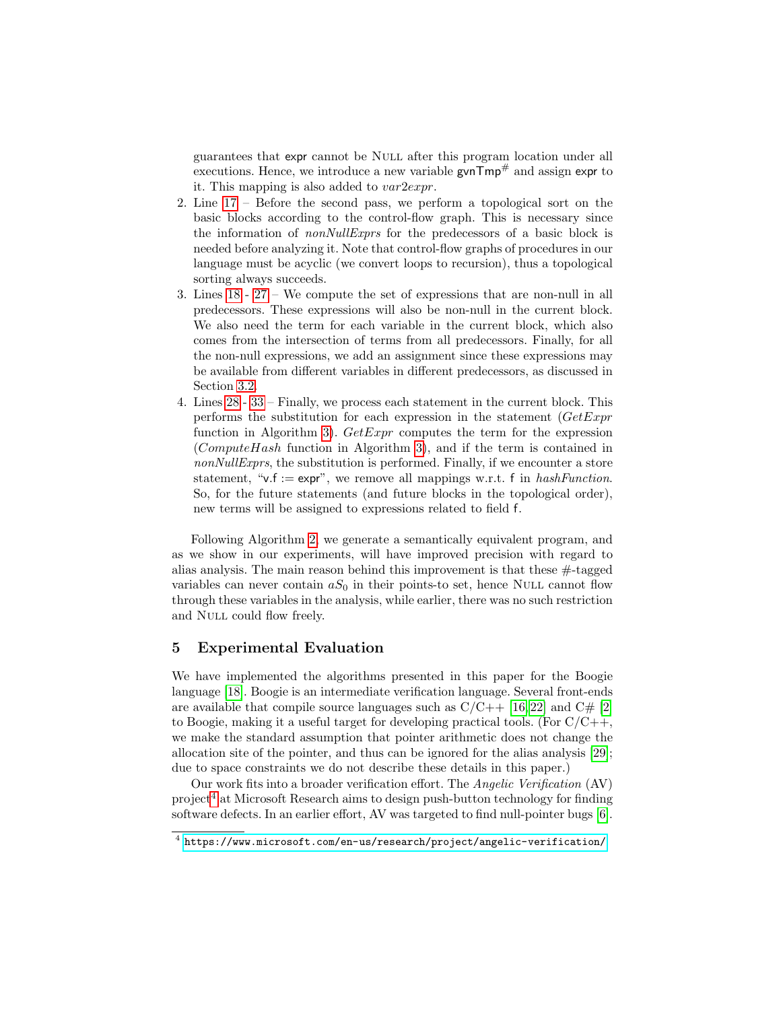guarantees that expr cannot be Null after this program location under all executions. Hence, we introduce a new variable  $gvnTmp^{\#}$  and assign expr to it. This mapping is also added to var2expr.

- 2. Line [17](#page-9-0) Before the second pass, we perform a topological sort on the basic blocks according to the control-flow graph. This is necessary since the information of nonNullExprs for the predecessors of a basic block is needed before analyzing it. Note that control-flow graphs of procedures in our language must be acyclic (we convert loops to recursion), thus a topological sorting always succeeds.
- 3. Lines [18](#page-9-0) - [27](#page-9-0) We compute the set of expressions that are non-null in all predecessors. These expressions will also be non-null in the current block. We also need the term for each variable in the current block, which also comes from the intersection of terms from all predecessors. Finally, for all the non-null expressions, we add an assignment since these expressions may be available from different variables in different predecessors, as discussed in Section [3.2.](#page-6-0)
- 4. Lines [28](#page-9-0) - [33](#page-9-0) Finally, we process each statement in the current block. This performs the substitution for each expression in the statement  $(GetExpr)$ function in Algorithm [3\)](#page-10-0).  $GetExpr$  computes the term for the expression (ComputeHash function in Algorithm [3\)](#page-10-0), and if the term is contained in nonNullExprs, the substitution is performed. Finally, if we encounter a store statement, " $v.f := expr$ ", we remove all mappings w.r.t. f in hashFunction. So, for the future statements (and future blocks in the topological order), new terms will be assigned to expressions related to field f.

Following Algorithm [2,](#page-9-0) we generate a semantically equivalent program, and as we show in our experiments, will have improved precision with regard to alias analysis. The main reason behind this improvement is that these  $\#$ -tagged variables can never contain  $aS_0$  in their points-to set, hence NULL cannot flow through these variables in the analysis, while earlier, there was no such restriction and Null could flow freely.

## <span id="page-11-0"></span>5 Experimental Evaluation

We have implemented the algorithms presented in this paper for the Boogie language [\[18\]](#page-15-10). Boogie is an intermediate verification language. Several front-ends are available that compile source languages such as  $C/C++$  [\[16,](#page-15-11)22] and  $C\#$  [\[2\]](#page-14-4) to Boogie, making it a useful target for developing practical tools. (For  $C/C++$ , we make the standard assumption that pointer arithmetic does not change the allocation site of the pointer, and thus can be ignored for the alias analysis [\[29\]](#page-15-13); due to space constraints we do not describe these details in this paper.)

Our work fits into a broader verification effort. The Angelic Verification (AV) project<sup>[4](#page-11-1)</sup> at Microsoft Research aims to design push-button technology for finding software defects. In an earlier effort, AV was targeted to find null-pointer bugs [\[6\]](#page-14-5).

<span id="page-11-1"></span> $^4$  <https://www.microsoft.com/en-us/research/project/angelic-verification/>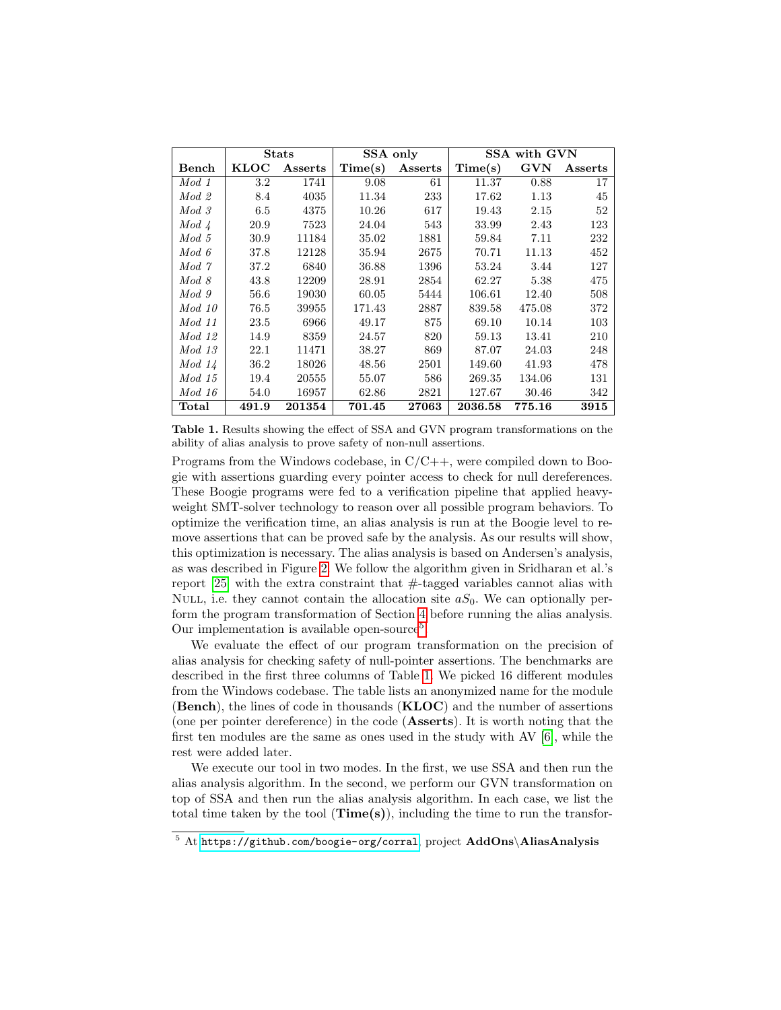|          | <b>Stats</b> |         | SSA only |         |         | SSA with GVN |         |
|----------|--------------|---------|----------|---------|---------|--------------|---------|
| Bench    | <b>KLOC</b>  | Asserts | Time(s)  | Asserts | Time(s) | <b>GVN</b>   | Asserts |
| $Mod_1$  | $3.2\,$      | 1741    | 9.08     | 61      | 11.37   | 0.88         | 17      |
| $Mod_2$  | 8.4          | 4035    | 11.34    | 233     | 17.62   | 1.13         | 45      |
| $Mod_3$  | 6.5          | 4375    | 10.26    | 617     | 19.43   | 2.15         | 52      |
| $Mod\ A$ | 20.9         | 7523    | 24.04    | 543     | 33.99   | 2.43         | 123     |
| $Mod\ 5$ | 30.9         | 11184   | 35.02    | 1881    | 59.84   | 7.11         | 232     |
| Mod 6    | 37.8         | 12128   | 35.94    | 2675    | 70.71   | 11.13        | 452     |
| Mod 7    | 37.2         | 6840    | 36.88    | 1396    | 53.24   | 3.44         | 127     |
| Mod 8    | 43.8         | 12209   | 28.91    | 2854    | 62.27   | 5.38         | 475     |
| $Mod_9$  | 56.6         | 19030   | 60.05    | 5444    | 106.61  | 12.40        | 508     |
| Mod 10   | 76.5         | 39955   | 171.43   | 2887    | 839.58  | 475.08       | 372     |
| Mod 11   | 23.5         | 6966    | 49.17    | 875     | 69.10   | 10.14        | 103     |
| Mod 12   | 14.9         | 8359    | 24.57    | 820     | 59.13   | 13.41        | 210     |
| Mod 13   | 22.1         | 11471   | 38.27    | 869     | 87.07   | 24.03        | 248     |
| Mod 14   | 36.2         | 18026   | 48.56    | 2501    | 149.60  | 41.93        | 478     |
| Mod 15   | 19.4         | 20555   | 55.07    | 586     | 269.35  | 134.06       | 131     |
| Mod~16   | 54.0         | 16957   | 62.86    | 2821    | 127.67  | 30.46        | 342     |
| Total    | 491.9        | 201354  | 701.45   | 27063   | 2036.58 | 775.16       | 3915    |

<span id="page-12-1"></span>Table 1. Results showing the effect of SSA and GVN program transformations on the ability of alias analysis to prove safety of non-null assertions.

Programs from the Windows codebase, in  $C/C++$ , were compiled down to Boogie with assertions guarding every pointer access to check for null dereferences. These Boogie programs were fed to a verification pipeline that applied heavyweight SMT-solver technology to reason over all possible program behaviors. To optimize the verification time, an alias analysis is run at the Boogie level to remove assertions that can be proved safe by the analysis. As our results will show, this optimization is necessary. The alias analysis is based on Andersen's analysis, as was described in Figure [2.](#page-3-0) We follow the algorithm given in Sridharan et al.'s report  $[25]$  with the extra constraint that  $\#$ -tagged variables cannot alias with NULL, i.e. they cannot contain the allocation site  $aS_0$ . We can optionally perform the program transformation of Section [4](#page-8-0) before running the alias analysis. Our implementation is available open-source<sup>[5](#page-12-0)</sup>.

We evaluate the effect of our program transformation on the precision of alias analysis for checking safety of null-pointer assertions. The benchmarks are described in the first three columns of Table [1.](#page-12-1) We picked 16 different modules from the Windows codebase. The table lists an anonymized name for the module (Bench), the lines of code in thousands (KLOC) and the number of assertions (one per pointer dereference) in the code (Asserts). It is worth noting that the first ten modules are the same as ones used in the study with AV [\[6\]](#page-14-5), while the rest were added later.

We execute our tool in two modes. In the first, we use SSA and then run the alias analysis algorithm. In the second, we perform our GVN transformation on top of SSA and then run the alias analysis algorithm. In each case, we list the total time taken by the tool  $(Time(s))$ , including the time to run the transfor-

<span id="page-12-0"></span> $\frac{5 \text{ At *https://github.com/boogie-org/corral*, project **AddOns\AliasAnalysis**$  $\frac{5 \text{ At *https://github.com/boogie-org/corral*, project **AddOns\AliasAnalysis**$  $\frac{5 \text{ At *https://github.com/boogie-org/corral*, project **AddOns\AliasAnalysis**$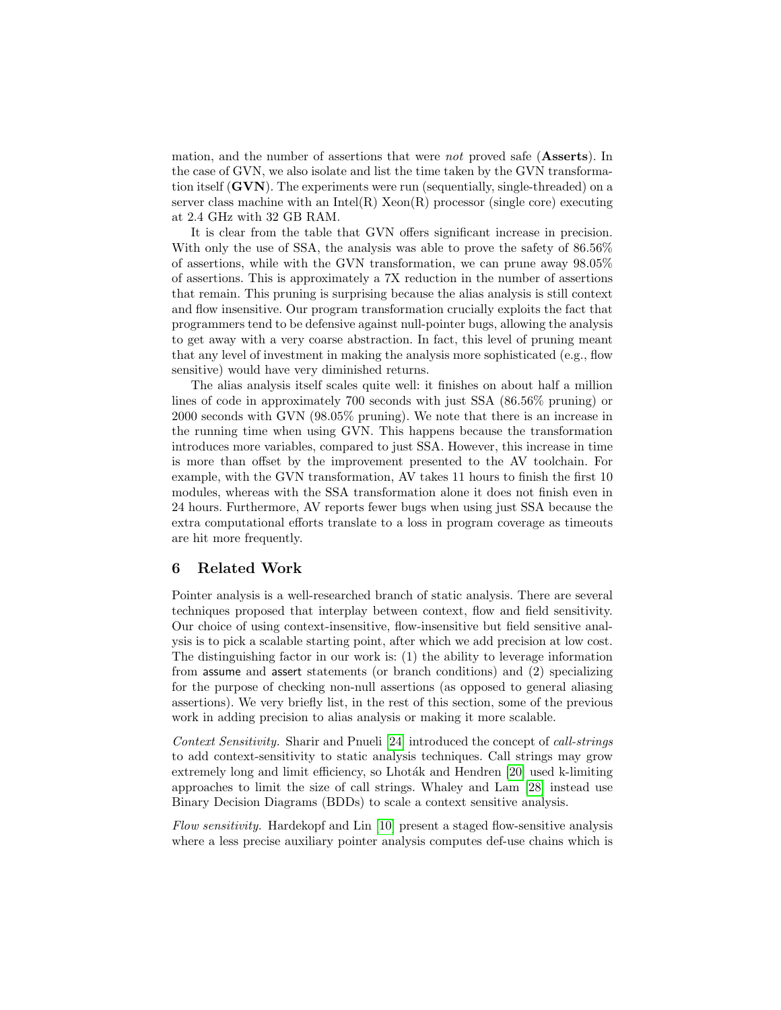mation, and the number of assertions that were *not* proved safe (**Asserts**). In the case of GVN, we also isolate and list the time taken by the GVN transformation itself  $(GVN)$ . The experiments were run (sequentially, single-threaded) on a server class machine with an Intel(R)  $Xeon(R)$  processor (single core) executing at 2.4 GHz with 32 GB RAM.

It is clear from the table that GVN offers significant increase in precision. With only the use of SSA, the analysis was able to prove the safety of 86.56% of assertions, while with the GVN transformation, we can prune away 98.05% of assertions. This is approximately a 7X reduction in the number of assertions that remain. This pruning is surprising because the alias analysis is still context and flow insensitive. Our program transformation crucially exploits the fact that programmers tend to be defensive against null-pointer bugs, allowing the analysis to get away with a very coarse abstraction. In fact, this level of pruning meant that any level of investment in making the analysis more sophisticated (e.g., flow sensitive) would have very diminished returns.

The alias analysis itself scales quite well: it finishes on about half a million lines of code in approximately 700 seconds with just SSA (86.56% pruning) or 2000 seconds with GVN (98.05% pruning). We note that there is an increase in the running time when using GVN. This happens because the transformation introduces more variables, compared to just SSA. However, this increase in time is more than offset by the improvement presented to the AV toolchain. For example, with the GVN transformation, AV takes 11 hours to finish the first 10 modules, whereas with the SSA transformation alone it does not finish even in 24 hours. Furthermore, AV reports fewer bugs when using just SSA because the extra computational efforts translate to a loss in program coverage as timeouts are hit more frequently.

# <span id="page-13-0"></span>6 Related Work

Pointer analysis is a well-researched branch of static analysis. There are several techniques proposed that interplay between context, flow and field sensitivity. Our choice of using context-insensitive, flow-insensitive but field sensitive analysis is to pick a scalable starting point, after which we add precision at low cost. The distinguishing factor in our work is: (1) the ability to leverage information from assume and assert statements (or branch conditions) and (2) specializing for the purpose of checking non-null assertions (as opposed to general aliasing assertions). We very briefly list, in the rest of this section, some of the previous work in adding precision to alias analysis or making it more scalable.

Context Sensitivity. Sharir and Pnueli [\[24\]](#page-15-14) introduced the concept of call-strings to add context-sensitivity to static analysis techniques. Call strings may grow extremely long and limit efficiency, so Lhoták and Hendren [\[20\]](#page-15-15) used k-limiting approaches to limit the size of call strings. Whaley and Lam [\[28\]](#page-15-16) instead use Binary Decision Diagrams (BDDs) to scale a context sensitive analysis.

Flow sensitivity. Hardekopf and Lin [\[10\]](#page-15-17) present a staged flow-sensitive analysis where a less precise auxiliary pointer analysis computes def-use chains which is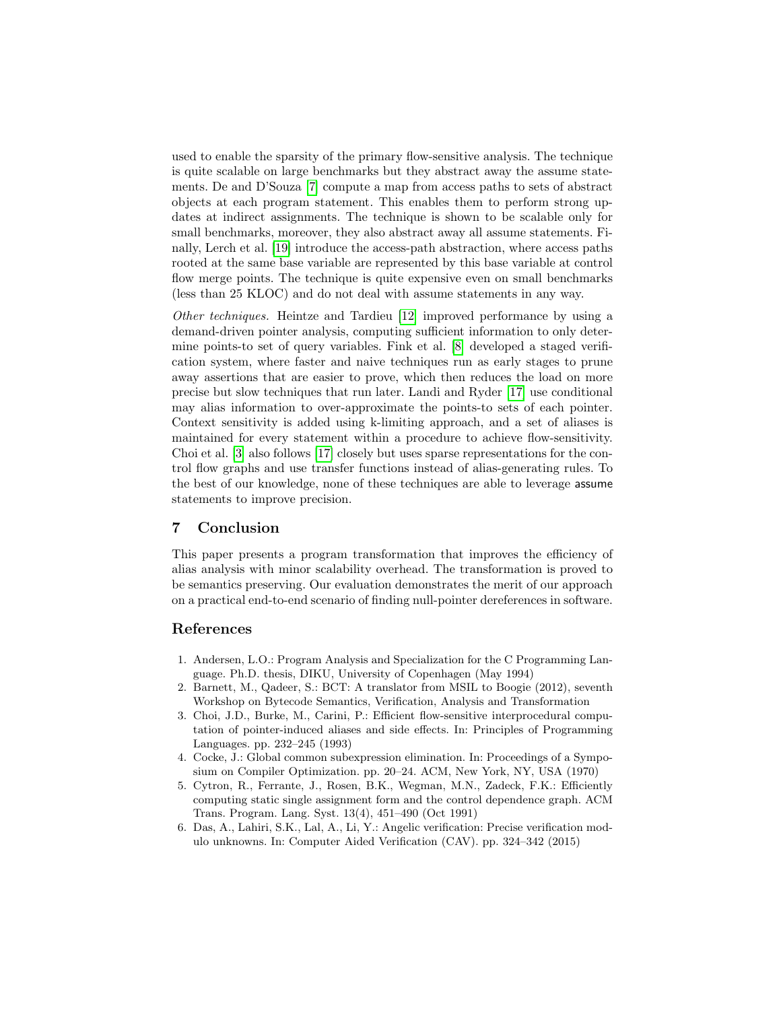used to enable the sparsity of the primary flow-sensitive analysis. The technique is quite scalable on large benchmarks but they abstract away the assume statements. De and D'Souza [\[7\]](#page-15-18) compute a map from access paths to sets of abstract objects at each program statement. This enables them to perform strong updates at indirect assignments. The technique is shown to be scalable only for small benchmarks, moreover, they also abstract away all assume statements. Finally, Lerch et al. [\[19\]](#page-15-19) introduce the access-path abstraction, where access paths rooted at the same base variable are represented by this base variable at control flow merge points. The technique is quite expensive even on small benchmarks (less than 25 KLOC) and do not deal with assume statements in any way.

Other techniques. Heintze and Tardieu [\[12\]](#page-15-20) improved performance by using a demand-driven pointer analysis, computing sufficient information to only determine points-to set of query variables. Fink et al. [\[8\]](#page-15-21) developed a staged verification system, where faster and naive techniques run as early stages to prune away assertions that are easier to prove, which then reduces the load on more precise but slow techniques that run later. Landi and Ryder [\[17\]](#page-15-22) use conditional may alias information to over-approximate the points-to sets of each pointer. Context sensitivity is added using k-limiting approach, and a set of aliases is maintained for every statement within a procedure to achieve flow-sensitivity. Choi et al. [\[3\]](#page-14-6) also follows [\[17\]](#page-15-22) closely but uses sparse representations for the control flow graphs and use transfer functions instead of alias-generating rules. To the best of our knowledge, none of these techniques are able to leverage assume statements to improve precision.

# <span id="page-14-2"></span>7 Conclusion

This paper presents a program transformation that improves the efficiency of alias analysis with minor scalability overhead. The transformation is proved to be semantics preserving. Our evaluation demonstrates the merit of our approach on a practical end-to-end scenario of finding null-pointer dereferences in software.

## References

- <span id="page-14-0"></span>1. Andersen, L.O.: Program Analysis and Specialization for the C Programming Language. Ph.D. thesis, DIKU, University of Copenhagen (May 1994)
- <span id="page-14-4"></span>2. Barnett, M., Qadeer, S.: BCT: A translator from MSIL to Boogie (2012), seventh Workshop on Bytecode Semantics, Verification, Analysis and Transformation
- <span id="page-14-6"></span>3. Choi, J.D., Burke, M., Carini, P.: Efficient flow-sensitive interprocedural computation of pointer-induced aliases and side effects. In: Principles of Programming Languages. pp. 232–245 (1993)
- <span id="page-14-3"></span>4. Cocke, J.: Global common subexpression elimination. In: Proceedings of a Symposium on Compiler Optimization. pp. 20–24. ACM, New York, NY, USA (1970)
- <span id="page-14-1"></span>5. Cytron, R., Ferrante, J., Rosen, B.K., Wegman, M.N., Zadeck, F.K.: Efficiently computing static single assignment form and the control dependence graph. ACM Trans. Program. Lang. Syst. 13(4), 451–490 (Oct 1991)
- <span id="page-14-5"></span>6. Das, A., Lahiri, S.K., Lal, A., Li, Y.: Angelic verification: Precise verification modulo unknowns. In: Computer Aided Verification (CAV). pp. 324–342 (2015)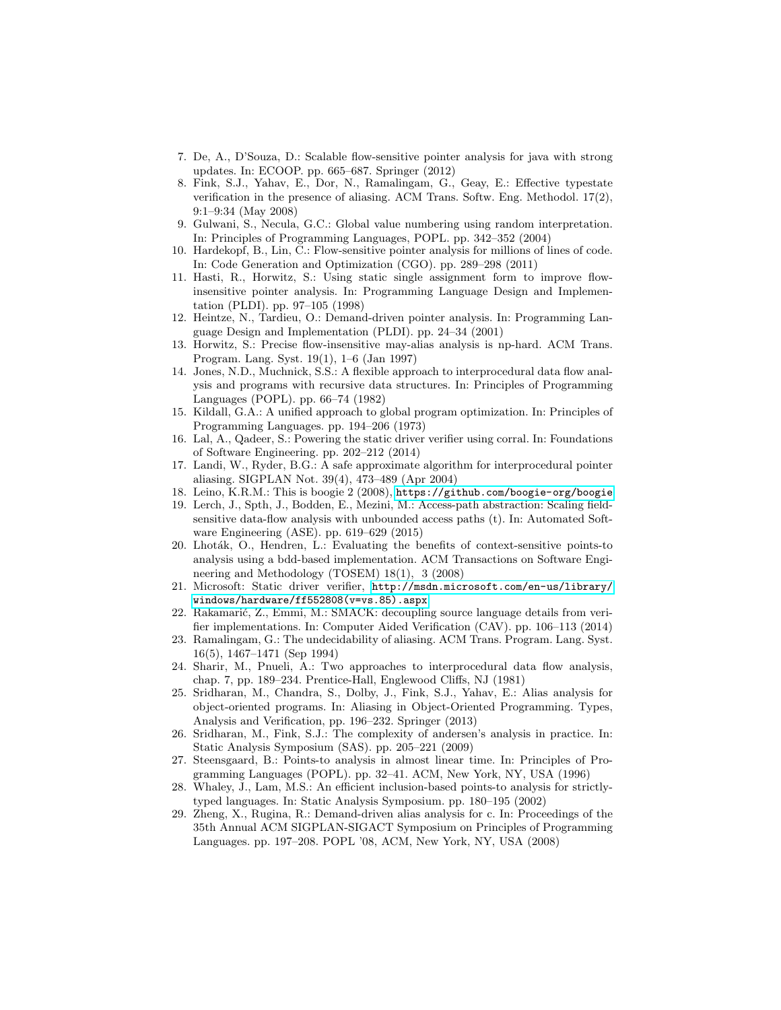- <span id="page-15-18"></span>7. De, A., D'Souza, D.: Scalable flow-sensitive pointer analysis for java with strong updates. In: ECOOP. pp. 665–687. Springer (2012)
- <span id="page-15-21"></span>8. Fink, S.J., Yahav, E., Dor, N., Ramalingam, G., Geay, E.: Effective typestate verification in the presence of aliasing. ACM Trans. Softw. Eng. Methodol. 17(2), 9:1–9:34 (May 2008)
- <span id="page-15-5"></span>9. Gulwani, S., Necula, G.C.: Global value numbering using random interpretation. In: Principles of Programming Languages, POPL. pp. 342–352 (2004)
- <span id="page-15-17"></span>10. Hardekopf, B., Lin, C.: Flow-sensitive pointer analysis for millions of lines of code. In: Code Generation and Optimization (CGO). pp. 289–298 (2011)
- <span id="page-15-3"></span>11. Hasti, R., Horwitz, S.: Using static single assignment form to improve flowinsensitive pointer analysis. In: Programming Language Design and Implementation (PLDI). pp. 97–105 (1998)
- <span id="page-15-20"></span>12. Heintze, N., Tardieu, O.: Demand-driven pointer analysis. In: Programming Language Design and Implementation (PLDI). pp. 24–34 (2001)
- <span id="page-15-2"></span>13. Horwitz, S.: Precise flow-insensitive may-alias analysis is np-hard. ACM Trans. Program. Lang. Syst. 19(1), 1–6 (Jan 1997)
- <span id="page-15-7"></span>14. Jones, N.D., Muchnick, S.S.: A flexible approach to interprocedural data flow analysis and programs with recursive data structures. In: Principles of Programming Languages (POPL). pp. 66–74 (1982)
- <span id="page-15-4"></span>15. Kildall, G.A.: A unified approach to global program optimization. In: Principles of Programming Languages. pp. 194–206 (1973)
- <span id="page-15-11"></span>16. Lal, A., Qadeer, S.: Powering the static driver verifier using corral. In: Foundations of Software Engineering. pp. 202–212 (2014)
- <span id="page-15-22"></span>17. Landi, W., Ryder, B.G.: A safe approximate algorithm for interprocedural pointer aliasing. SIGPLAN Not. 39(4), 473–489 (Apr 2004)
- <span id="page-15-10"></span>18. Leino, K.R.M.: This is boogie 2 (2008), <https://github.com/boogie-org/boogie>
- <span id="page-15-19"></span>19. Lerch, J., Spth, J., Bodden, E., Mezini, M.: Access-path abstraction: Scaling fieldsensitive data-flow analysis with unbounded access paths (t). In: Automated Software Engineering (ASE). pp. 619–629 (2015)
- <span id="page-15-15"></span>20. Lhoták, O., Hendren, L.: Evaluating the benefits of context-sensitive points-to analysis using a bdd-based implementation. ACM Transactions on Software Engineering and Methodology (TOSEM) 18(1), 3 (2008)
- <span id="page-15-6"></span>21. Microsoft: Static driver verifier, [http://msdn.microsoft.com/en-us/library/](http://msdn.microsoft.com/en-us/library/windows/hardware/ff552808(v=vs.85).aspx) [windows/hardware/ff552808\(v=vs.85\).aspx](http://msdn.microsoft.com/en-us/library/windows/hardware/ff552808(v=vs.85).aspx)
- <span id="page-15-12"></span>22. Rakamarić, Z., Emmi, M.: SMACK: decoupling source language details from verifier implementations. In: Computer Aided Verification (CAV). pp. 106–113 (2014)
- <span id="page-15-1"></span>23. Ramalingam, G.: The undecidability of aliasing. ACM Trans. Program. Lang. Syst. 16(5), 1467–1471 (Sep 1994)
- <span id="page-15-14"></span>24. Sharir, M., Pnueli, A.: Two approaches to interprocedural data flow analysis, chap. 7, pp. 189–234. Prentice-Hall, Englewood Cliffs, NJ (1981)
- <span id="page-15-8"></span>25. Sridharan, M., Chandra, S., Dolby, J., Fink, S.J., Yahav, E.: Alias analysis for object-oriented programs. In: Aliasing in Object-Oriented Programming. Types, Analysis and Verification, pp. 196–232. Springer (2013)
- <span id="page-15-9"></span>26. Sridharan, M., Fink, S.J.: The complexity of andersen's analysis in practice. In: Static Analysis Symposium (SAS). pp. 205–221 (2009)
- <span id="page-15-0"></span>27. Steensgaard, B.: Points-to analysis in almost linear time. In: Principles of Programming Languages (POPL). pp. 32–41. ACM, New York, NY, USA (1996)
- <span id="page-15-16"></span>28. Whaley, J., Lam, M.S.: An efficient inclusion-based points-to analysis for strictlytyped languages. In: Static Analysis Symposium. pp. 180–195 (2002)
- <span id="page-15-13"></span>29. Zheng, X., Rugina, R.: Demand-driven alias analysis for c. In: Proceedings of the 35th Annual ACM SIGPLAN-SIGACT Symposium on Principles of Programming Languages. pp. 197–208. POPL '08, ACM, New York, NY, USA (2008)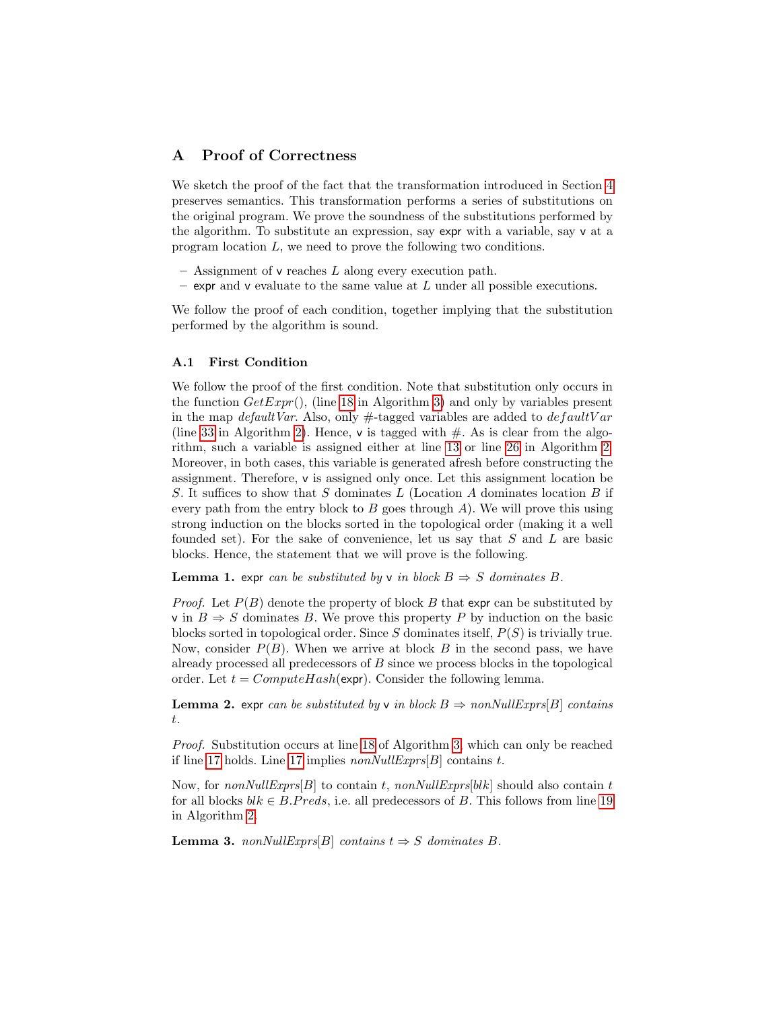# <span id="page-16-0"></span>A Proof of Correctness

We sketch the proof of the fact that the transformation introduced in Section [4](#page-8-0) preserves semantics. This transformation performs a series of substitutions on the original program. We prove the soundness of the substitutions performed by the algorithm. To substitute an expression, say expr with a variable, say v at a program location L, we need to prove the following two conditions.

- $-$  Assignment of v reaches L along every execution path.
- expr and v evaluate to the same value at  $L$  under all possible executions.

We follow the proof of each condition, together implying that the substitution performed by the algorithm is sound.

#### A.1 First Condition

We follow the proof of the first condition. Note that substitution only occurs in the function  $GetExpr()$ , (line [18](#page-10-0) in Algorithm [3\)](#page-10-0) and only by variables present in the map *default Var*. Also, only  $\#$ -tagged variables are added to *default Var* (line [33](#page-9-0) in Algorithm [2\)](#page-9-0). Hence,  $\mathsf{v}$  is tagged with  $\#$ . As is clear from the algorithm, such a variable is assigned either at line [13](#page-9-0) or line [26](#page-9-0) in Algorithm [2.](#page-9-0) Moreover, in both cases, this variable is generated afresh before constructing the assignment. Therefore, v is assigned only once. Let this assignment location be S. It suffices to show that S dominates L (Location A dominates location B if every path from the entry block to B goes through  $A$ ). We will prove this using strong induction on the blocks sorted in the topological order (making it a well founded set). For the sake of convenience, let us say that  $S$  and  $L$  are basic blocks. Hence, the statement that we will prove is the following.

<span id="page-16-3"></span>**Lemma 1.** expr can be substituted by v in block  $B \Rightarrow S$  dominates B.

*Proof.* Let  $P(B)$  denote the property of block B that expr can be substituted by v in  $B \Rightarrow S$  dominates B. We prove this property P by induction on the basic blocks sorted in topological order. Since S dominates itself,  $P(S)$  is trivially true. Now, consider  $P(B)$ . When we arrive at block B in the second pass, we have already processed all predecessors of  $B$  since we process blocks in the topological order. Let  $t = ComputeHash(exp)$ . Consider the following lemma.

<span id="page-16-2"></span>**Lemma 2.** expr can be substituted by v in block  $B \Rightarrow nonNullExpress[B]$  contains t.

Proof. Substitution occurs at line [18](#page-10-0) of Algorithm [3,](#page-10-0) which can only be reached if line [17](#page-10-0) holds. Line 17 implies  $nonNullExpress[B]$  contains t.

Now, for nonNullExprs[B] to contain t, nonNullExprs[blk] should also contain t for all blocks  $blk \in B.Preds$ , i.e. all predecessors of B. This follows from line [19](#page-9-0) in Algorithm [2.](#page-9-0)

<span id="page-16-1"></span>**Lemma 3.** nonNullExprs[B] contains  $t \Rightarrow S$  dominates B.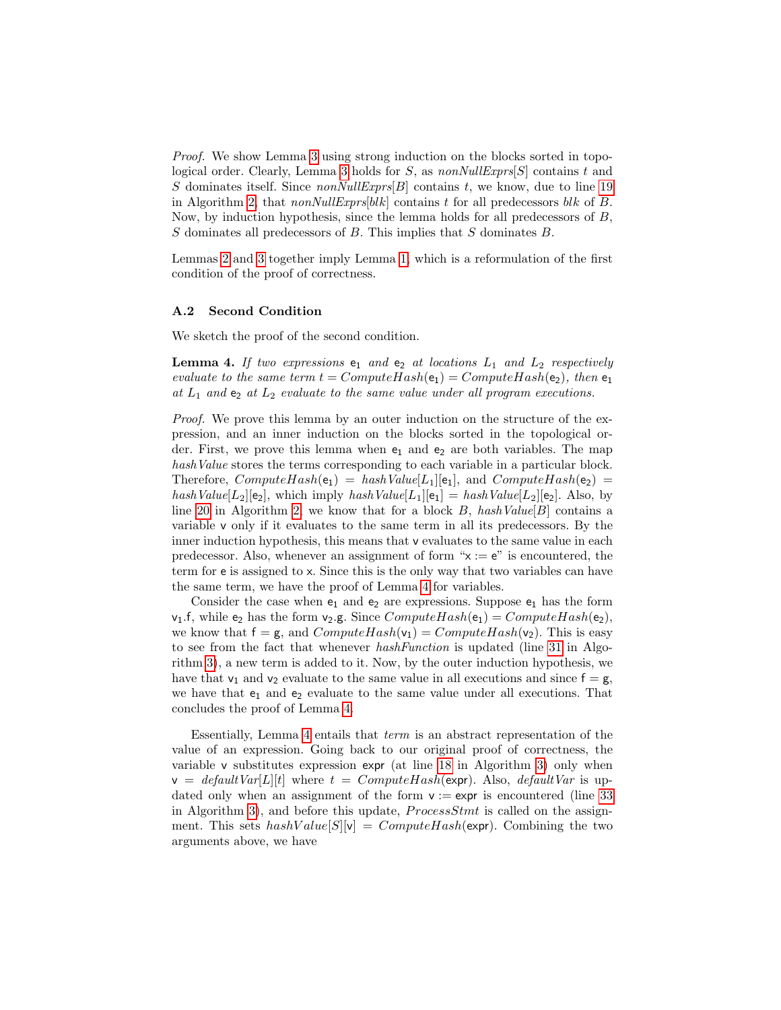Proof. We show Lemma [3](#page-16-1) using strong induction on the blocks sorted in topo-logical order. Clearly, Lemma [3](#page-16-1) holds for S, as  $nonNullExpress[S]$  contains t and S dominates itself. Since  $nonNullExpress[B]$  contains t, we know, due to line [19](#page-9-0) in Algorithm [2,](#page-9-0) that  $nonNullExpress[blk]$  contains t for all predecessors blk of B. Now, by induction hypothesis, since the lemma holds for all predecessors of B,  $S$  dominates all predecessors of  $B$ . This implies that  $S$  dominates  $B$ .

Lemmas [2](#page-16-2) and [3](#page-16-1) together imply Lemma [1,](#page-16-3) which is a reformulation of the first condition of the proof of correctness.

#### A.2 Second Condition

<span id="page-17-0"></span>We sketch the proof of the second condition.

**Lemma 4.** If two expressions  $e_1$  and  $e_2$  at locations  $L_1$  and  $L_2$  respectively evaluate to the same term  $t = ComputeHash(e_1) = ComputeHash(e_2)$ , then  $e_1$ at  $L_1$  and  $e_2$  at  $L_2$  evaluate to the same value under all program executions.

Proof. We prove this lemma by an outer induction on the structure of the expression, and an inner induction on the blocks sorted in the topological order. First, we prove this lemma when  $e_1$  and  $e_2$  are both variables. The map hash Value stores the terms corresponding to each variable in a particular block. Therefore,  $ComputeHash(e_1) = hashValue[L_1][e_1]$ , and  $ComputeHash(e_2)$ hashValue[L<sub>2</sub>][e<sub>2</sub>], which imply hashValue[L<sub>1</sub>][e<sub>1</sub>] = hashValue[L<sub>2</sub>][e<sub>2</sub>]. Also, by line [20](#page-9-0) in Algorithm [2,](#page-9-0) we know that for a block  $B$ , hashValue[B] contains a variable v only if it evaluates to the same term in all its predecessors. By the inner induction hypothesis, this means that v evaluates to the same value in each predecessor. Also, whenever an assignment of form " $x := e$ " is encountered, the term for e is assigned to x. Since this is the only way that two variables can have the same term, we have the proof of Lemma [4](#page-17-0) for variables.

Consider the case when  $e_1$  and  $e_2$  are expressions. Suppose  $e_1$  has the form  $v_1.f$ , while  $e_2$  has the form  $v_2.g.$  Since  $ComputeHash(e_1) = ComputeHash(e_2),$ we know that  $f = g$ , and  $ComputeHash(v_1) = ComputeHash(v_2)$ . This is easy to see from the fact that whenever hashFunction is updated (line [31](#page-10-0) in Algorithm [3\)](#page-10-0), a new term is added to it. Now, by the outer induction hypothesis, we have that  $v_1$  and  $v_2$  evaluate to the same value in all executions and since  $f = g$ , we have that  $e_1$  and  $e_2$  evaluate to the same value under all executions. That concludes the proof of Lemma [4.](#page-17-0)

Essentially, Lemma [4](#page-17-0) entails that term is an abstract representation of the value of an expression. Going back to our original proof of correctness, the variable v substitutes expression expr (at line [18](#page-10-0) in Algorithm [3\)](#page-10-0) only when  $v = \text{default} \text{Var}[L][t]$  where  $t = \text{Compute} \text{Hash}(\text{expr})$ . Also,  $\text{default} \text{Var}$  is updated only when an assignment of the form  $v := \exp r$  is encountered (line [33](#page-9-0)) in Algorithm [3\)](#page-10-0), and before this update,  $ProcessStmt$  is called on the assignment. This sets  $hashValue[S][v] = ComputeHash(exp)$ . Combining the two arguments above, we have